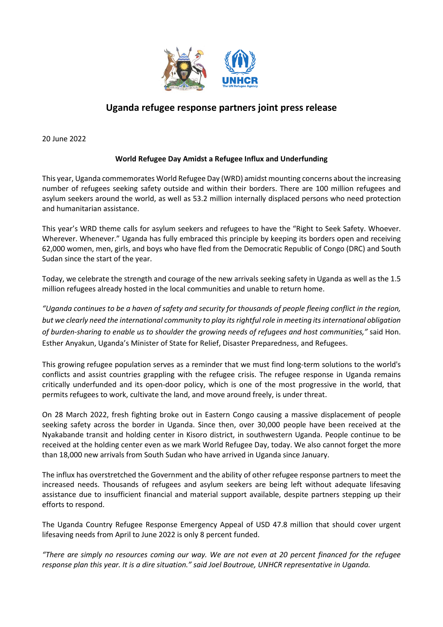

## **Uganda refugee response partners joint press release**

20 June 2022

## **World Refugee Day Amidst a Refugee Influx and Underfunding**

This year, Uganda commemorates World Refugee Day (WRD) amidst mounting concerns about the increasing number of refugees seeking safety outside and within their borders. There are 100 million refugees and asylum seekers around the world, as well as 53.2 million internally displaced persons who need protection and humanitarian assistance.

This year's WRD theme calls for asylum seekers and refugees to have the "Right to Seek Safety. Whoever. Wherever. Whenever." Uganda has fully embraced this principle by keeping its borders open and receiving 62,000 women, men, girls, and boys who have fled from the Democratic Republic of Congo (DRC) and South Sudan since the start of the year.

Today, we celebrate the strength and courage of the new arrivals seeking safety in Uganda as well as the 1.5 million refugees already hosted in the local communities and unable to return home.

"Uganda continues to be a haven of safety and security for thousands of people fleeing conflict in the region, *but we clearly need the international community to play itsrightful role in meeting itsinternational obligation of burden-sharing to enable us to shoulder the growing needs of refugees and host communities,"* said Hon. Esther Anyakun, Uganda's Minister of State for Relief, Disaster Preparedness, and Refugees.

This growing refugee population serves as a reminder that we must find long-term solutions to the world's conflicts and assist countries grappling with the refugee crisis. The refugee response in Uganda remains critically underfunded and its open-door policy, which is one of the most progressive in the world, that permits refugees to work, cultivate the land, and move around freely, is under threat.

On 28 March 2022, fresh fighting broke out in Eastern Congo causing a massive displacement of people seeking safety across the border in Uganda. Since then, over 30,000 people have been received at the Nyakabande transit and holding center in Kisoro district, in southwestern Uganda. People continue to be received at the holding center even as we mark World Refugee Day, today. We also cannot forget the more than 18,000 new arrivals from South Sudan who have arrived in Uganda since January.

The influx has overstretched the Government and the ability of other refugee response partners to meet the increased needs. Thousands of refugees and asylum seekers are being left without adequate lifesaving assistance due to insufficient financial and material support available, despite partners stepping up their efforts to respond.

The Uganda Country Refugee Response Emergency Appeal of USD 47.8 million that should cover urgent lifesaving needs from April to June 2022 is only 8 percent funded.

"There are simply no resources coming our way. We are not even at 20 percent financed for the refugee *response plan this year. It is a dire situation." said Joel Boutroue, UNHCR representative in Uganda.*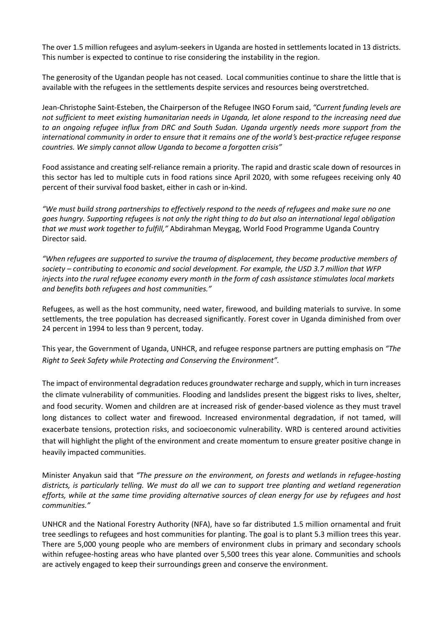The over 1.5 million refugees and asylum-seekers in Uganda are hosted in settlements located in 13 districts. This number is expected to continue to rise considering the instability in the region.

The generosity of the Ugandan people has not ceased. Local communities continue to share the little that is available with the refugees in the settlements despite services and resources being overstretched.

Jean-Christophe Saint-Esteben, the Chairperson of the Refugee INGO Forum said, *"Current funding levels are* not sufficient to meet existing humanitarian needs in Uganda, let alone respond to the increasing need due *to an ongoing refugee influx from DRC and South Sudan. Uganda urgently needs more support from the* international community in order to ensure that it remains one of the world's best-practice refugee response *countries. We simply cannot allow Uganda to become a forgotten crisis"*

Food assistance and creating self-reliance remain a priority. The rapid and drastic scale down of resources in this sector has led to multiple cuts in food rations since April 2020, with some refugees receiving only 40 percent of their survival food basket, either in cash or in-kind.

"We must build strong partnerships to effectively respond to the needs of refugees and make sure no one goes hungry. Supporting refugees is not only the right thing to do but also an international legal obligation *that we must work together to fulfill,"* Abdirahman Meygag, World Food Programme Uganda Country Director said.

*"When refugees are supported to survive the trauma of displacement, they become productive members of society – contributing to economic and social development. For example, the USD 3.7 million that WFP* injects into the rural refugee economy every month in the form of cash assistance stimulates local markets *and benefits both refugees and host communities."*

Refugees, as well as the host community, need water, firewood, and building materials to survive. In some settlements, the tree population has decreased significantly. Forest cover in Uganda diminished from over 24 percent in 1994 to less than 9 percent, today.

This year, the Government of Uganda, UNHCR, and refugee response partners are putting emphasis on *"The Right to Seek Safety while Protecting and Conserving the Environment".* 

The impact of environmental degradation reduces groundwater recharge and supply, which in turn increases the climate vulnerability of communities. Flooding and landslides present the biggest risks to lives, shelter, and food security. Women and children are at increased risk of gender-based violence as they must travel long distances to collect water and firewood. Increased environmental degradation, if not tamed, will exacerbate tensions, protection risks, and socioeconomic vulnerability. WRD is centered around activities that will highlight the plight of the environment and create momentum to ensure greater positive change in heavily impacted communities.

Minister Anyakun said that *"The pressure on the environment, on forests and wetlands in refugee-hosting* districts, is particularly telling. We must do all we can to support tree planting and wetland regeneration efforts, while at the same time providing alternative sources of clean energy for use by refugees and host *communities."*

UNHCR and the National Forestry Authority (NFA), have so far distributed 1.5 million ornamental and fruit tree seedlings to refugees and host communities for planting. The goal is to plant 5.3 million trees this year. There are 5,000 young people who are members of environment clubs in primary and secondary schools within refugee-hosting areas who have planted over 5,500 trees this year alone. Communities and schools are actively engaged to keep their surroundings green and conserve the environment.